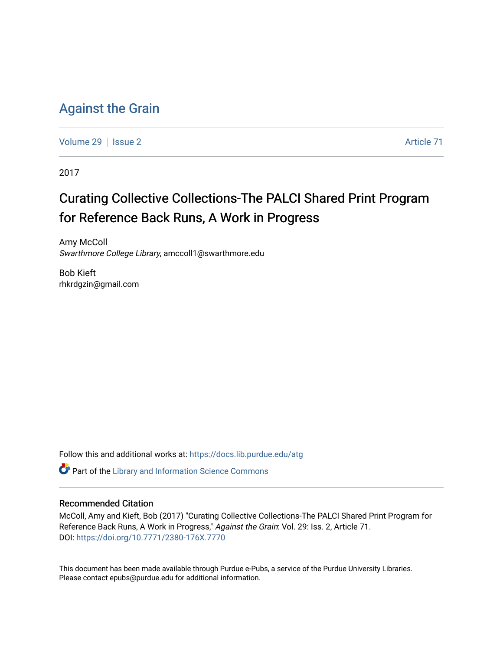# [Against the Grain](https://docs.lib.purdue.edu/atg)

[Volume 29](https://docs.lib.purdue.edu/atg/vol29) | [Issue 2](https://docs.lib.purdue.edu/atg/vol29/iss2) Article 71

2017

# Curating Collective Collections-The PALCI Shared Print Program for Reference Back Runs, A Work in Progress

Amy McColl Swarthmore College Library, amccoll1@swarthmore.edu

Bob Kieft rhkrdgzin@gmail.com

Follow this and additional works at: [https://docs.lib.purdue.edu/atg](https://docs.lib.purdue.edu/atg?utm_source=docs.lib.purdue.edu%2Fatg%2Fvol29%2Fiss2%2F71&utm_medium=PDF&utm_campaign=PDFCoverPages)

**C** Part of the Library and Information Science Commons

### Recommended Citation

McColl, Amy and Kieft, Bob (2017) "Curating Collective Collections-The PALCI Shared Print Program for Reference Back Runs, A Work in Progress," Against the Grain: Vol. 29: Iss. 2, Article 71. DOI:<https://doi.org/10.7771/2380-176X.7770>

This document has been made available through Purdue e-Pubs, a service of the Purdue University Libraries. Please contact epubs@purdue.edu for additional information.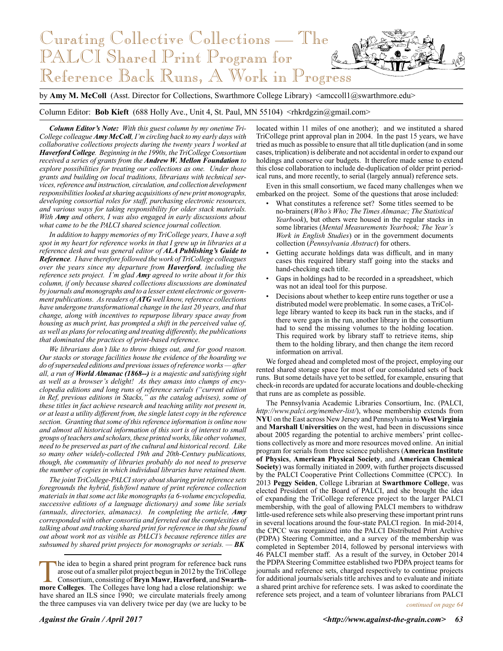

by **Amy M. McColl** (Asst. Director for Collections, Swarthmore College Library) <amccoll1@swarthmore.edu>

Column Editor: **Bob Kieft** (688 Holly Ave., Unit 4, St. Paul, MN 55104) <rhkrdgzin@gmail.com>

*Column Editor's Note: With this guest column by my onetime Tri-College colleague Amy McColl, I'm circling back to my early days with collaborative collections projects during the twenty years I worked at Haverford College. Beginning in the 1990s, the TriCollege Consortium received a series of grants from the Andrew W. Mellon Foundation to explore possibilities for treating our collections as one. Under those grants and building on local traditions, librarians with technical services, reference and instruction, circulation, and collection development responsibilities looked at sharing acquisitions of new print monographs, developing consortial roles for staff, purchasing electronic resources, and various ways for taking responsibility for older stack materials. With Amy and others, I was also engaged in early discussions about what came to be the PALCI shared science journal collection.*

*In addition to happy memories of my TriCollege years, I have a soft spot in my heart for reference works in that I grew up in libraries at a reference desk and was general editor of ALA Publishing's Guide to Reference. I have therefore followed the work of TriCollege colleagues over the years since my departure from Haverford, including the reference sets project. I'm glad Amy agreed to write about it for this column, if only because shared collections discussions are dominated by journals and monographs and to a lesser extent electronic or government publications. As readers of ATG well know, reference collections have undergone transformational change in the last 20 years, and that change, along with incentives to repurpose library space away from housing as much print, has prompted a shift in the perceived value of, as well as plans for relocating and treating differently, the publications that dominated the practices of print-based reference.*

*We librarians don't like to throw things out, and for good reason. Our stacks or storage facilities house the evidence of the hoarding we do of superseded editions and previous issues of reference works — after all, a run of World Almanac (1868--) is a majestic and satisfying sight as well as a browser's delight! As they amass into clumps of encyclopedia editions and long runs of reference serials ("current edition in Ref, previous editions in Stacks," as the catalog advises), some of these titles in fact achieve research and teaching utility not present in, or at least a utility different from, the single latest copy in the reference section. Granting that some of this reference information is online now and almost all historical information of this sort is of interest to small groups of teachers and scholars, these printed works, like other volumes, need to be preserved as part of the cultural and historical record. Like so many other widely-collected 19th and 20th-Century publications, though, the community of libraries probably do not need to preserve the number of copies in which individual libraries have retained them.*

*The joint TriCollege-PALCI story about sharing print reference sets foregrounds the hybrid, fish/fowl nature of print reference collection materials in that some act like monographs (a 6-volume encyclopedia, successive editions of a language dictionary) and some like serials (annuals, directories, almanacs). In completing the article, Amy corresponded with other consortia and ferreted out the complexities of talking about and tracking shared print for reference in that she found out about work not as visible as PALCI's because reference titles are subsumed by shared print projects for monographs or serials. — BK*

located within 11 miles of one another); and we instituted a shared TriCollege print approval plan in 2004. In the past 15 years, we have tried as much as possible to ensure that all title duplication (and in some cases, triplication) is deliberate and not accidental in order to expand our holdings and conserve our budgets. It therefore made sense to extend this close collaboration to include de-duplication of older print periodical runs, and more recently, to serial (largely annual) reference sets.

Even in this small consortium, we faced many challenges when we embarked on the project. Some of the questions that arose included:

- What constitutes a reference set? Some titles seemed to be no-brainers (*Who's Who; The Times Almanac; The Statistical Yearbook*), but others were housed in the regular stacks in some libraries (*Mental Measurements Yearbook; The Year's Work in English Studies*) or in the government documents collection (*Pennsylvania Abstract*) for others.
- Getting accurate holdings data was difficult, and in many cases this required library staff going into the stacks and hand-checking each title.
- Gaps in holdings had to be recorded in a spreadsheet, which was not an ideal tool for this purpose.
- Decisions about whether to keep entire runs together or use a distributed model were problematic. In some cases, a TriCollege library wanted to keep its back run in the stacks, and if there were gaps in the run, another library in the consortium had to send the missing volumes to the holding location. This required work by library staff to retrieve items, ship them to the holding library, and then change the item record information on arrival.

We forged ahead and completed most of the project, employing our rented shared storage space for most of our consolidated sets of back runs. But some details have yet to be settled, for example, ensuring that check-in records are updated for accurate locations and double-checking that runs are as complete as possible.

The Pennsylvania Academic Libraries Consortium, Inc. (PALCI, *http://www.palci.org/member-list/*), whose membership extends from **NYU** on the East across New Jersey and Pennsylvania to **West Virginia** and **Marshall Universities** on the west, had been in discussions since about 2005 regarding the potential to archive members' print collections collectively as more and more resources moved online. An initial program for serials from three science publishers (**American Institute of Physics**, **American Physical Society**, and **American Chemical Society**) was formally initiated in 2009, with further projects discussed by the PALCI Cooperative Print Collections Committee (CPCC). In 2013 **Peggy Seiden**, College Librarian at **Swarthmore College**, was elected President of the Board of PALCI, and she brought the idea of expanding the TriCollege reference project to the larger PALCI membership, with the goal of allowing PALCI members to withdraw little-used reference sets while also preserving these important print runs in several locations around the four-state PALCI region. In mid-2014, the CPCC was reorganized into the PALCI Distributed Print Archive (PDPA) Steering Committee, and a survey of the membership was completed in September 2014, followed by personal interviews with 46 PALCI member staff. As a result of the survey, in October 2014 the PDPA Steering Committee established two PDPA project teams for journals and reference sets, charged respectively to continue projects for additional journals/serials title archives and to evaluate and initiate a shared print archive for reference sets. I was asked to coordinate the reference sets project, and a team of volunteer librarians from PALCI

*continued on page 64*

The idea to begin a shared print program for reference back runs arose out of a smaller pilot project begun in 2012 by the TriCollege Consortium, consisting of **Bryn Mawr, Haverford**, and **Swarth-**<br> **Proper Colleges** The C arose out of a smaller pilot project begun in 2012 by the TriCollege **more Colleges**. The Colleges have long had a close relationship: we have shared an ILS since 1990; we circulate materials freely among the three campuses via van delivery twice per day (we are lucky to be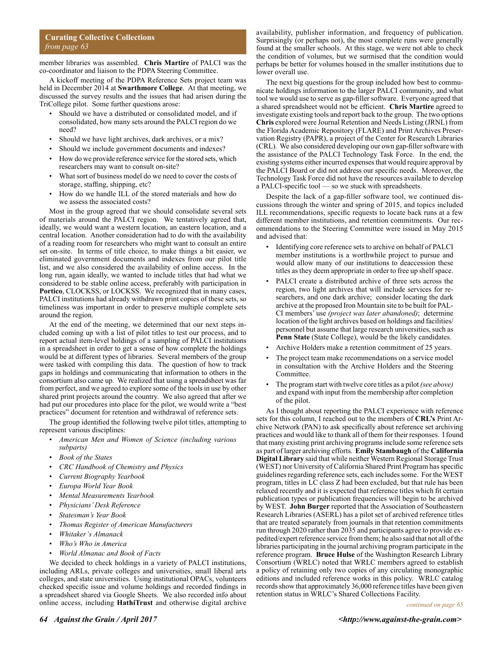#### **Curating Collective Collections** *from page 63*

member libraries was assembled. **Chris Martire** of PALCI was the co-coordinator and liaison to the PDPA Steering Committee.

A kickoff meeting of the PDPA Reference Sets project team was held in December 2014 at **Swarthmore College**. At that meeting, we discussed the survey results and the issues that had arisen during the TriCollege pilot. Some further questions arose:

- Should we have a distributed or consolidated model, and if consolidated, how many sets around the PALCI region do we need?
- Should we have light archives, dark archives, or a mix?
- Should we include government documents and indexes?
- How do we provide reference service for the stored sets, which researchers may want to consult on-site?
- What sort of business model do we need to cover the costs of storage, staffing, shipping, etc?
- How do we handle ILL of the stored materials and how do we assess the associated costs?

Most in the group agreed that we should consolidate several sets of materials around the PALCI region. We tentatively agreed that, ideally, we would want a western location, an eastern location, and a central location. Another consideration had to do with the availability of a reading room for researchers who might want to consult an entire set on-site. In terms of title choice, to make things a bit easier, we eliminated government documents and indexes from our pilot title list, and we also considered the availability of online access. In the long run, again ideally, we wanted to include titles that had what we considered to be stable online access, preferably with participation in **Portico**, CLOCKSS, or LOCKSS. We recognized that in many cases, PALCI institutions had already withdrawn print copies of these sets, so timeliness was important in order to preserve multiple complete sets around the region.

At the end of the meeting, we determined that our next steps included coming up with a list of pilot titles to test our process, and to report actual item-level holdings of a sampling of PALCI institutions in a spreadsheet in order to get a sense of how complete the holdings would be at different types of libraries. Several members of the group were tasked with compiling this data. The question of how to track gaps in holdings and communicating that information to others in the consortium also came up. We realized that using a spreadsheet was far from perfect, and we agreed to explore some of the tools in use by other shared print projects around the country. We also agreed that after we had put our procedures into place for the pilot, we would write a "best practices" document for retention and withdrawal of reference sets.

The group identified the following twelve pilot titles, attempting to represent various disciplines:

- *American Men and Women of Science (including various subparts)*
- *Book of the States*
- *CRC Handbook of Chemistry and Physics*
- *Current Biography Yearbook*
- *Europa World Year Book*
- *Mental Measurements Yearbook*
- *Physicians' Desk Reference*
- *Statesman's Year Book*
- *Thomas Register of American Manufacturers*
- *Whitaker's Almanack*
- *Who's Who in America*
- *World Almanac and Book of Facts*

We decided to check holdings in a variety of PALCI institutions, including ARLs, private colleges and universities, small liberal arts colleges, and state universities. Using institutional OPACs, volunteers checked specific issue and volume holdings and recorded findings in a spreadsheet shared via Google Sheets. We also recorded info about online access, including **HathiTrust** and otherwise digital archive

availability, publisher information, and frequency of publication. Surprisingly (or perhaps not), the most complete runs were generally found at the smaller schools. At this stage, we were not able to check the condition of volumes, but we surmised that the condition would perhaps be better for volumes housed in the smaller institutions due to lower overall use.

The next big questions for the group included how best to communicate holdings information to the larger PALCI community, and what tool we would use to serve as gap-filler software. Everyone agreed that a shared spreadsheet would not be efficient. **Chris Martire** agreed to investigate existing tools and report back to the group. The two options **Chris** explored were Journal Retention and Needs Listing (JRNL) from the Florida Academic Repository (FLARE) and Print Archives Preservation Registry (PAPR), a project of the Center for Research Libraries (CRL). We also considered developing our own gap-filler software with the assistance of the PALCI Technology Task Force. In the end, the existing systems either incurred expenses that would require approval by the PALCI Board or did not address our specific needs. Moreover, the Technology Task Force did not have the resources available to develop a PALCI-specific tool — so we stuck with spreadsheets.

Despite the lack of a gap-filler software tool, we continued discussions through the winter and spring of 2015, and topics included ILL recommendations, specific requests to locate back runs at a few different member institutions, and retention commitments. Our recommendations to the Steering Committee were issued in May 2015 and advised that:

- Identifying core reference sets to archive on behalf of PALCI member institutions is a worthwhile project to pursue and would allow many of our institutions to deaccession these titles as they deem appropriate in order to free up shelf space.
- PALCI create a distributed archive of three sets across the region, two light archives that will include services for researchers, and one dark archive; consider locating the dark archive at the proposed Iron Mountain site to be built for PAL-CI members' use *(project was later abandoned)*; determine location of the light archives based on holdings and facilities/ personnel but assume that large research universities, such as **Penn State** (State College), would be the likely candidates.
- Archive Holders make a retention commitment of 25 years.
- The project team make recommendations on a service model in consultation with the Archive Holders and the Steering Committee.
- The program start with twelve core titles as a pilot *(see above)* and expand with input from the membership after completion of the pilot.

As I thought about reporting the PALCI experience with reference sets for this column, I reached out to the members of **CRL's** Print Archive Network (PAN) to ask specifically about reference set archiving practices and would like to thank all of them for their responses. I found that many existing print archiving programs include some reference sets as part of larger archiving efforts. **Emily Stambaugh** of the **California Digital Library** said that while neither Western Regional Storage Trust (WEST) nor University of California Shared Print Program has specific guidelines regarding reference sets, each includes some. For the WEST program, titles in LC class Z had been excluded, but that rule has been relaxed recently and it is expected that reference titles which fit certain publication types or publication frequencies will begin to be archived by WEST. **John Burger** reported that the Association of Southeastern Research Libraries (ASERL) has a pilot set of archived reference titles that are treated separately from journals in that retention commitments run through 2020 rather than 2035 and participants agree to provide expedited/expert reference service from them; he also said that not all of the libraries participating in the journal archiving program participate in the reference program. **Bruce Hulse** of the Washington Research Library Consortium (WRLC) noted that WRLC members agreed to establish a policy of retaining only two copies of any circulating monographic editions and included reference works in this policy. WRLC catalog records show that approximately 36,000 reference titles have been given retention status in WRLC's Shared Collections Facility.